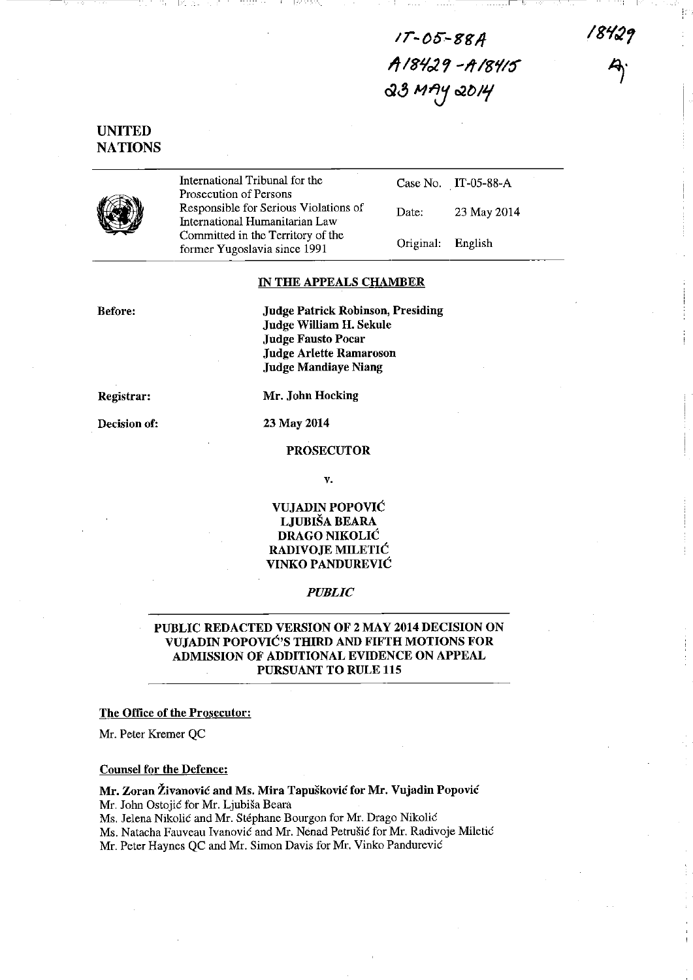$17 - 05 - 88A$ *11/81/029* -ltI~'II~  $33$  MAY 2014

 $\overline{\phantom{a}}$  . . . . . . .  $\overline{\phantom{a}}$  is

18429

# UNITED **NATIONS**



International Tribunal for the Prosecution of Persons Responsible for Serious Violations of International Humanitarian Law Committed in the Territory of the former Yugoslavia since 1991

Case No. IT-05-88-A Date: 23 May 2014 Original: English

#### IN THE APPEALS CHAMBER

Before:

Judge Patrick Robinson, Presiding Judge William H. Sekule Judge Fausto Pocar Judge Arlette Ramaroson Judge Mandiaye Niang

Registrar:

Decision of: 23 May 2014

Mr. John Hocking

#### PROSECUTOR

v.

## VUJADIN POPOVIC LJUBISA BEARA DRAGO NIKOLIC RADIVOJE MILETIC VINKO PANDUREVIC

### *PUBLIC*

# PUBLIC REDACTED VERSION OF 2 MAY 2014 DECISION ON VUJADIN POPOVIC'S THIRD AND FIFTH MOTIONS FOR ADMISSION OF ADDITIONAL EVIDENCE ON APPEAL PURSUANT TO RULE 115

## The Office of the Prosecutor:

Mr. Peter Kremer QC

#### Counsel for the Defence:

#### Mr. Zoran Zivanovic and Ms. Mira Tapuskovic for Mr. Vujadin Popovic

Mr. John Ostojic for Mr. Ljubisa Beara

Ms. Jelena Nikolic and Mr. Stephane Bourgon for Mr. Drago Nikolic

Ms. Natacha Fauveau Ivanović and Mr. Nenad Petrušić for Mr. Radivoje Miletić

Mr. Peter Haynes QC and Mr. Simon Davis for Mr. Vinko Pandurevic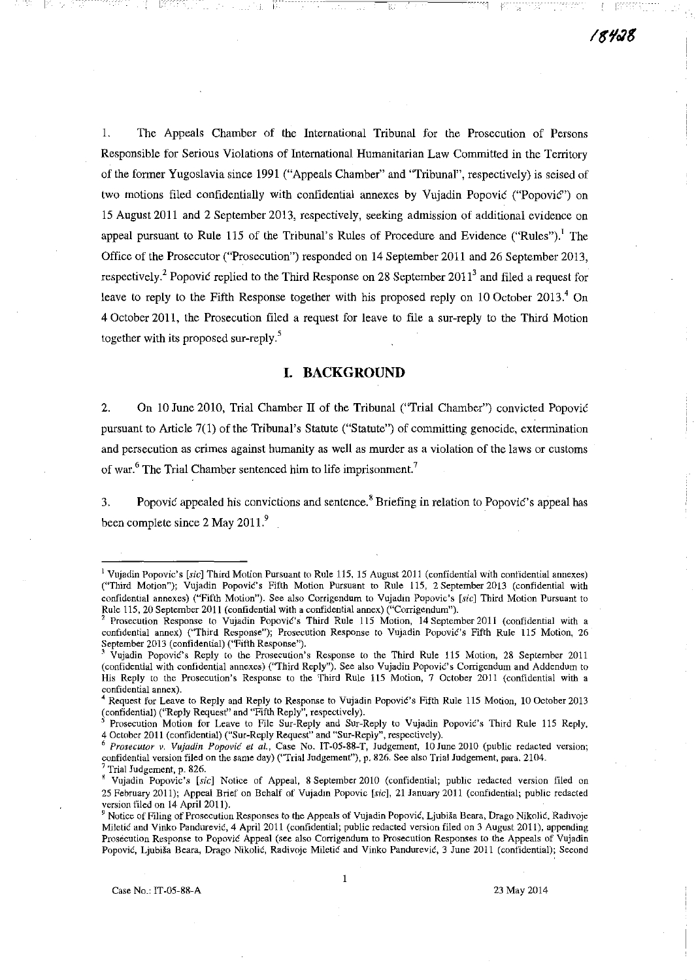1. The Appeals Chamber of the International Tribunal for the Prosecution of Persons Responsible for Serious Violations of International Humanitarian Law Committed in the Territory of the former Yugoslavia since 1991 ("Appeals Chamber" and "Tribunal", respectively) is seised of two motions filed confidentially with confidential annexes by Vujadin Popovic ("Popovic") on 15 August 2011 and 2 September 2013, respectively, seeking admission of additional evidence on appeal pursuant to Rule 115 of the Tribunal's Rules of Procedure and Evidence ("Rules").<sup>1</sup> The Office of the Prosecutor ("Prosecution") responded on 14 September 2011 and 26 September 2013, respectively.<sup>2</sup> Popovic replied to the Third Response on 28 September 2011<sup>3</sup> and filed a request for leave to reply to the Fifth Response together with his proposed reply on 10 October 2013.<sup>4</sup> On 4 October 2011, the Prosecution filed a request for leave to file a sur-reply to the Third Motion together with its proposed sur-reply.<sup>5</sup>

## **I. BACKGROUND**

2. On 10 June 2010, Trial Chamber II of the Tribunal ("Trial Chamber") convicted Popović pursuant to Article 7(1) of the Tribunal's Statute ("Statute") of committing genocide, extermination and persecution as crimes against humanity as well as murder as a violation of the laws or customs of war.<sup>6</sup> The Trial Chamber sentenced him to life imprisonment.<sup>7</sup>

3. Popovic appealed his convictions and sentence.<sup>8</sup> Briefing in relation to Popovic's appeal has been complete since 2 May 2011.<sup>9</sup>

**<sup>1</sup> Vujadin Popovic's [sic] Third Motion Pursuant to Rule 115, 15 August 2011 (confidential with confidential annexes) (''Third Motion"); Vujadin Popovic's Fifth Motion Pursuant to Rule 115, 2 September 2013 (confidential with**  confidential annexes) ("Fifth Motion"). See also Corrigendum to Vujadin Popovic's [sic] Third Motion Pursuant to **Rule 115,20 September 2011 (confidential with a confidential annex) ("Corrigendum").** 

Prosecution Response to Vujadin Popovic's Third Rule 115 Motion, 14 September 2011 (confidential with a confidential annex) ("Third Response"); Prosecution Response to Vujadin Popović's Fifth Rule 115 Motion, 26 September 2013 (confidential) ("Fifth Response").

<sup>~</sup>**Vujadin PopoviC's Reply to the Prosecution's Response to the Third Rule 115 Motion, 28 September 2011**  (confidential with confidential annexes) ("Third Reply"). See also Vujadin Popović's Corrigendum and Addendum to **His Reply to the Prosecution's Response to the Third Rule 115 Motion, 7 October 2011 (confidential with a confidential annex).** 

**<sup>4</sup> Request for Leave to Reply and Reply to Response to Vujadin PopoviC's Fifth Rule 115 Motion, 10 October 2013**  ~confidential) **("Reply Request" and "Fifth Reply", respectively).** 

Prosecution Motion for Leave to File Sur-Reply and Sur-Reply to Vujadin Popovic's Third Rule 115 Reply, **4 October 2011 (confidential) ("Sur-Reply Request" and "Sur-Reply", respectively).** 

<sup>6</sup>*Prosecutor v. Vujadin Popovic et al.,* **Case No. IT-05-88-T, Judgement, 10 June 2010 (public redacted version;**  confidential version filed on the same day) ("Trial Judgement"), p. 826. See also Trial Judgement, para. 2104.

<sup>7</sup> **Trial Judgement, p. 826.** 

<sup>&</sup>lt;sup>8</sup> Vujadin Popovic's [sic] Notice of Appeal, 8 September 2010 (confidential; public redacted version filed on **25 February 2011); Appeal Brief on Behalf of Vujadm Popovic** *[sic],* **21 January 2011 (confidential; public redacted version filed on 14 April 2011).**<br><sup>9</sup> Notice of File

Notice of Filing of Prosecution Responses to the Appeals of Vujadin Popović, Ljubiša Beara, Drago Nikolić, Radivoje **Miletic and Vinko Pandurevic, 4 April 2011 (confidential; public redacted version filed on 3 August 2011), appending Prosecution Response to Popovic Appeal (see also Corrigendum to Prosecution Responses to the Appeals of Vujadin Popovic, Ljubisa Beara, Drago Nikolic, Radivoje Miletic and Vinko Pandurevic, 3 June 2011 (confidential); Second**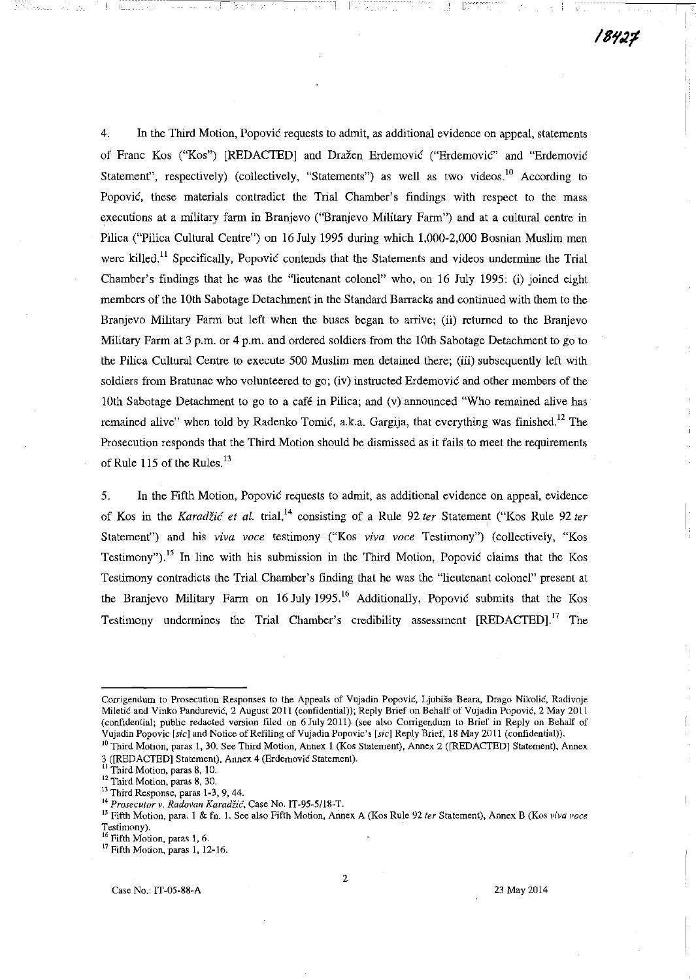18427

4. In the Third Motion, Popovic requests to admit, as additional evidence on appeal, statements of Franc Kos ("Kos") [REDACTED] and Dražen Erdemović ("Erdemović" and "Erdemović Statement", respectively) (collectively, "Statements") as well as two videos.<sup>10</sup> According to Popovic, these materials contradict the Trial Chamber's findings with respect to the mass executions at a military farm in Branjevo ("Branjevo Military Farm") and at a cultural centre in Pilica ("Pilica Cultural Centre") on 16 July 1995 during which 1,000-2,000 Bosnian Muslim men were killed.<sup>11</sup> Specifically, Popovic contends that the Statements and videos undermine the Trial Chamber's findings that he was the "lieutenant colonel" who, on  $16$  July 1995; (i) joined eight members of the 10th Sabotage Detachment in the Standard Barracks and continued with them to the Branjevo Military Farm but left when the buses began to arrive; (ii) returned to the Branjevo Military Farm at 3 p.m. or 4 p.m. and ordered soldiers from the 10th Sabotage Detachment to go to the Pilica Cultural Centre to execute 500 Muslim men detained there; (iii) subsequently left with soldiers from Bratunac who volunteered to go; (iv) instructed Erdemovic and other members of the 10th Sabotage Detachment to go to a cafe in Pilica; and (v) announced "Who remained alive has remained alive" when told by Radenko Tomić, a.k.a. Gargija, that everything was finished.<sup>12</sup> The Prosecution responds that the Third Motion should be dismissed as it fails to meet the requirements of Rule 115 of the Rules.<sup>13</sup>

5. In the Fifth Motion, Popovic requests to admit, as additional evidence on appeal, evidence of Kos in the *Karadzic et al.* trial,14 consisting of a Rule 92 *ter* Statement ("Kos Rule 92 *ter*  Statement") and his *viva voce* testimony ("Kos *viva voce* Testimony") (collectively, "Kos Testimony").<sup>15</sup> In line with his submission in the Third Motion, Popovic claims that the Kos Testimony contradicts the Trial Chamber's finding that he was the "lieutenant colonel" present at the Branjevo Military Farm on 16 July 1995.<sup>16</sup> Additionally, Popovic submits that the Kos Testimony undermines the Trial Chamber's credibility assessment [REDACTED].17 The

**Corrigendum to Prosecution Responses to the Appeals of Vujadin PopoviC, Ljubisa Beara, Drago Nikolic, Radivoje Mileti6 and Vinko Pandurevic, 2 August 2011 (confidential)); Reply Brief on Behalf of Vujadin Popovic, 2 May 2011 (confidential; public redacted version filed on 6 July 2011) (see also Corrigendum to Brief in Reply on Behalf of Vujadin Popovic [sic] and Notice of Refiling of Vujadin Popovic's [sic] Reply Brief, 18 May 2011 (contidential)),** 

<sup>&</sup>lt;sup>10</sup> Third Motion, paras 1, 30. See Third Motion, Annex 1 (Kos Statement), Annex 2 ([REDACTED] Statement), Annex **3 ([REDACTED] Statement), Annex 4 (Erdemović Statement).**<br><sup>1</sup>

**II Third Motion, paras 8, 10.** 

**<sup>12</sup> Third Motion, paras 8, 30.** 

<sup>&</sup>lt;sup>13</sup> Third Response, paras 1-3, 9, 44.

**<sup>14</sup>***Prosecutor* **v.** *Radovan Karadiic,* **Case No. IT-95-51l8-T.** 

**IS Fifth Motion, para. 1 & fn. 1. See also Fifth Motion, Annex A (Kos Rule 92** *fer* **Statement), Annex B (Kos** *viva voce*  **Testimony).** 

**<sup>16</sup>Fifth Motion, paras 1, 6.** 

**<sup>17</sup> Fifth Motion, paras 1,12-16.**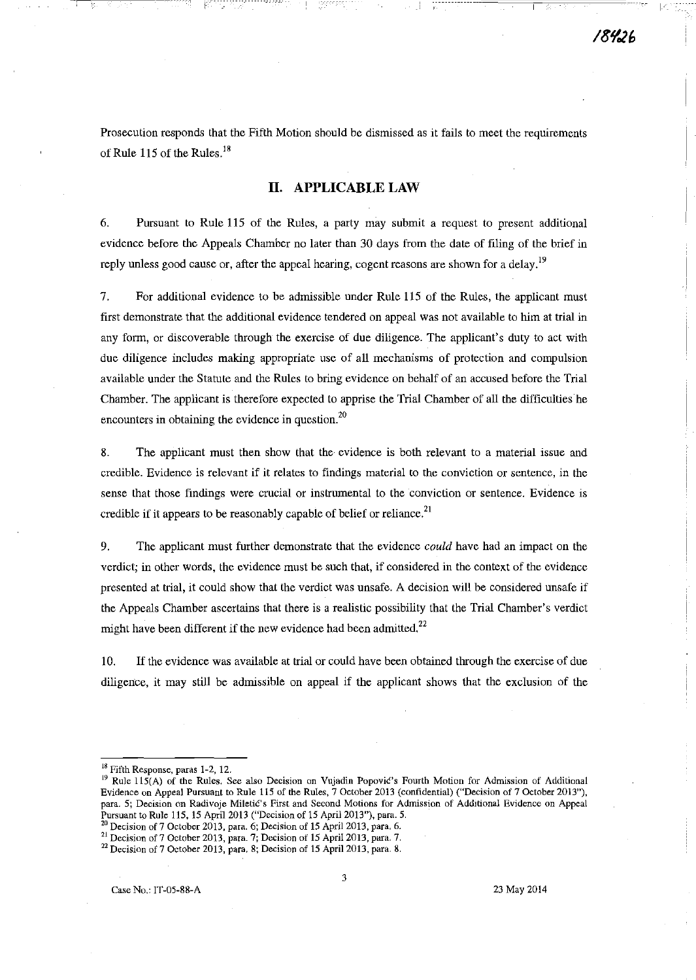Prosecution responds that the Fifth Motion should be dismissed as it fails to meet the requirements of Rule 115 of the Rules.<sup>18</sup>

# **II. APPLICABLE LAW**

6. Pursuant to Rule 115 of the Rules, a party may submit a request to present additional evidence before the Appeals Chamber no later than 30 days from the date of filing of the brief in reply unless good cause or, after the appeal hearing, cogent reasons are shown for a delay.<sup>19</sup>

7. For additional evidence to be admissible under Rule 115 of the Rules, the applicant must first demonstrate that the additional evidence tendered on appeal was not available to him at trial in any form, or discoverable through the exercise of due diligence. The applicant's duty to act with due diligence includes making appropriate use of all mechanisms of protection and compulsion available under the Statute and the Rules to bring evidence on behalf of an accused before the Trial Chamber. The applicant is therefore expected to apprise the Trial Chamber of all the difficulties he **encounters in obtaining the evidence in question.<sup>20</sup>**

8. The applicant must then show that the evidence is both relevant to a material issue and credible. Evidence is relevant if it relates to findings material to the conviction or sentence, in the **sense that those findings were crucial or instrumental to the conviction or sentence. Evidence is**  credible if it appears to be reasonably capable of belief or reliance.<sup>21</sup>

9. The applicant must further demonstrate that the evidence *could* have had an impact on the verdict; in other words, the evidence must be such that, if considered in the context of the evidence presented at trial, it could show that the verdict was unsafe. A decision will be considered unsafe if the Appeals Chamber ascertains that there is a realistic possibility that the Trial Chamber's verdict might have been different if the new evidence had been admitted.<sup>22</sup>

10. If the evidence was available at trial or could have been obtained through the exercise of due diligence, it may still be admissible on appeal if the applicant shows that the exclusion of the

- <sup>20</sup> Decision of 7 October 2013, para. 6; Decision of 15 April 2013, para. 6.
- <sup>21</sup> Decision of 7 October 2013, para. 7; Decision of 15 April 2013, para. 7,

**<sup>18</sup> Fifth Response, paras 1-2, 12.** 

<sup>&</sup>lt;sup>19</sup> Rule 115(A) of the Rules. See also Decision on Vujadin Popovic's Fourth Motion for Admission of Additional **Evidence on Appeal Pursuant to Rule 115 of the Rules, 7 October 2013 (confidential) ("Decision of 7 October 2013"), para. 5; Decision on Radivoje Miletic's First and Second Motions for Admission of AddItional Evidence on Appeal Pursuant to Rule 115, 15 Apri12013 ("Decision of 15 ApriI2013"), para. 5.** 

<sup>&</sup>lt;sup>22</sup> Decision of 7 October 2013, para, 8; Decision of 15 April 2013, para. 8.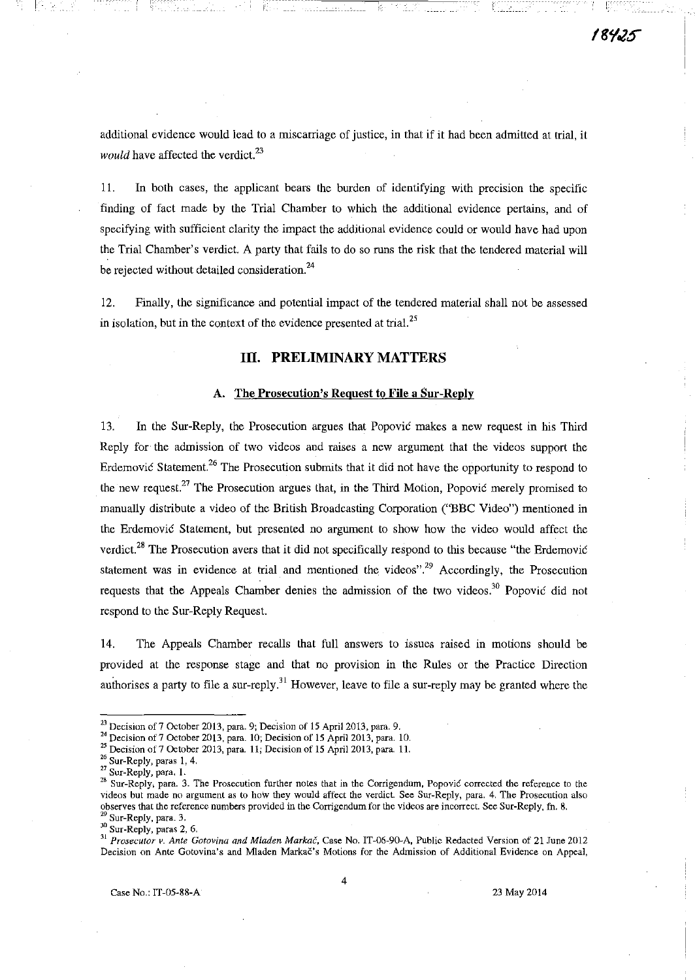additional evidence would lead to a miscarriage of justice, in that if it had been admitted at trial, it *would* have affected the verdict. $^{23}$ 

11. In both cases, the applicant bears the burden of identifying with precision the specific finding of fact made by the Trial Chamber to which the additional evidence pertains, and of specifying with sufficient clarity the impact the additional evidence could or would have had upon the Trial Chamber's verdict. A party that fails to do so runs the risk that the tendered material will be rejected without detailed consideration.<sup>24</sup>

12. Finally, the significance and potential impact of the tendered material shall not be assessed in isolation, but in the context of the evidence presented at trial. 25

## III. PRELIMINARY MATTERS

#### A. The Prosecution's Request to File a Sur-Reply

13. In the Sur-Reply, the Prosecution argues that Popović makes a new request in his Third Reply for the admission of two videos and raises a new argument that the videos support the Erdemović Statement.<sup>26</sup> The Prosecution submits that it did not have the opportunity to respond to the new request.<sup>27</sup> The Prosecution argues that, in the Third Motion, Popovic merely promised to manually distribute a video of the British Broadcasting Corporation ("BBC Video") mentioned in the Erdemovic Statement, but presented no argument to show how the video would affect the verdict.<sup>28</sup> The Prosecution avers that it did not specifically respond to this because "the Erdemovic" statement was in evidence at trial and mentioned the videos".<sup>29</sup> Accordingly, the Prosecution requests that the Appeals Chamber denies the admission of the two videos.<sup>30</sup> Popovic did not respond to the Sur-Reply Request.

14. The Appeals Chamber recalls that full answers to issues raised in motions should be provided at the response stage and that no provision in the Rules or the Practice Direction authorises a party to file a sur-reply.<sup>31</sup> However, leave to file a sur-reply may be granted where the

<sup>30</sup> Sur-Reply, paras 2, 6.

 $^{23}$  Decision of 7 October 2013, para. 9; Decision of 15 April 2013, para. 9.

<sup>&</sup>lt;sup>24</sup> Decision of 7 October 2013, para. 10; Decision of 15 April 2013, para. 10.

<sup>&</sup>lt;sup>25</sup> Decision of 7 October 2013, para. 11; Decision of 15 April 2013, para. 11.

<sup>&</sup>lt;sup>26</sup> Sur-Reply, paras 1, 4.

<sup>27</sup> Sur-Reply, para. 1.

<sup>&</sup>lt;sup>28</sup> Sur-Reply, para. 3. The Prosecution further notes that in the Corrigendum, Popovic corrected the reference to the videos but made no argument as to how they would affect the verdict. See Sur-Reply, para. 4. The Prosecution also observes that the reference numbers provided in the Corrigendum for the videos are incorrect. See Sur-Reply, fn. 8. Sur-Reply, para. 3.

<sup>&</sup>lt;sup>31</sup> Prosecutor v. Ante Gotovina and Mladen Markac, Case No. IT-06-90-A, Public Redacted Version of 21 June 2012 Decision on Ante Gotovina's and Mladen Markac's Motions for the Admission of Additional Evidence on Appeal,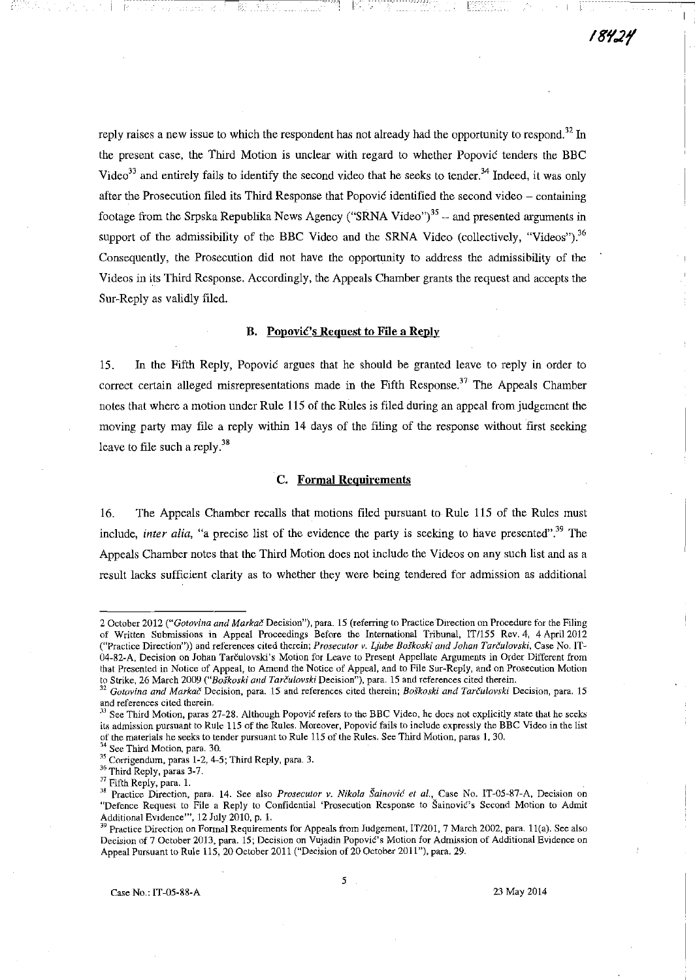reply raises a new issue to which the respondent has not already had the opportunity to respond.<sup>32</sup> In the present case, the Third Motion is unclear with regard to whether Popovic tenders the BBC Video<sup>33</sup> and entirely fails to identify the second video that he seeks to tender.<sup>34</sup> Indeed, it was only after the Prosecution filed its Third Response that Popovic identified the second video - containing footage from the Srpska Republika News Agency ("SRNA Video")<sup>35</sup> - and presented arguments in support of the admissibility of the BBC Video and the SRNA Video (collectively, "Videos").<sup>36</sup> Consequently, the Prosecution did not have the opportunity to address the admissibility of the Videos in its Third Response. Accordingly, the Appeals Chamber grants the request and accepts the Sur-Reply as validly filed.

-------,-c-------------l

### B. Popović's Request to File a Reply

15. In the Fifth Reply, Popovic argues that he should be granted leave to reply in order to correct certain alleged misrepresentations made in the Fifth Response.<sup>37</sup> The Appeals Chamber notes that where a motion under Rule 115 of the Rules is filed during an appeal from judgement the moving party may file a reply within 14 days of the filing of the response without first seeking leave to file such a reply. $38$ 

#### C. Formal Requirements

16. The Appeals Chamber recalls that motions filed pursuant to Rule 115 of the Rules must include, *inter alia*, "a precise list of the evidence the party is seeking to have presented".<sup>39</sup> The Appeals Chamber notes that the Third Motion does not include the Videos on any such list and as a result lacks sufficient clarity as to whether they were being tendered for admission as additional

<sup>34</sup> See Third Motion, para. 30.

<sup>2</sup> October 2012 *C"Gotol'ina and Markac* Decision"), para. 15 (referring to Practice'DIrection on Procedure for the Filing of Written Submissions **in** Appeal Proceedings Before the International Tribunal, IT/ISS Rev. 4, 4 April 2012 ("Practice Direction")) and references cited therein; *Prosecutor v. Ljube Bofkoski and fohan Tarculovski,* Case No. ITw 04-82-A, Decision on Johan Tarčulovski's Motion for Leave to Present Appellate Arguments in Order Different from that Presented in Notice of Appeal, to Amend the Notice of Appeal, and to File Sur-Reply, and on Prosecution Motion to Strike, 26 March 2009 *("Bofkoski a/ld Tarculovski* Decision"), para. 15 and references cited therein.

<sup>32</sup>*Gotovina and Markac* Decision, para. 15 and references cited therein; *Boskoski and Tarculovski* Decision, para. 15 and references cited therein.

<sup>&</sup>lt;sup>33</sup> See Third Motion, paras 27-28. Although Popovic refers to the BBC Video, he does not explicitly state that he seeks its admission pursuant to Rule 115 of the Rules. Moreover, Popovic fails to include expressly the BBC Video in the list of the materials he seeks to tender pursuant to Rule 115 of the Rules. See Third Motion, paras 1, 30.

<sup>&</sup>lt;sup>35</sup> Corrigendum, paras 1-2, 4-5; Third Reply, para. 3.

<sup>36</sup> Third Reply, paras 3-7.

<sup>&</sup>lt;sup>37</sup> Fifth Reply, para. 1.

<sup>&</sup>lt;sup>38</sup> Practice Direction, para. 14. See also *Prosecutor v. Nikola Sainović et al.*, Case No. IT-05-87-A, Decision on "Defence Request to File a Reply to Confidential 'Prosecution Response to Sainovic's Second Motion to Admit Additional EVIdence"', 12 July 2010, p. l.

<sup>&</sup>lt;sup>39</sup> Practice Direction on Formal Requirements for Appeals from Judgement, IT/201, 7 March 2002, para. 11(a). See also Decision of 7 October 2013, para. 15; Decision on Vujadin Popović's Motion for Admission of Additional Evidence on Appeal Pursuant to Rule 115, 20 October 2011 ("Decision of 20 October 2011 "), para. 29.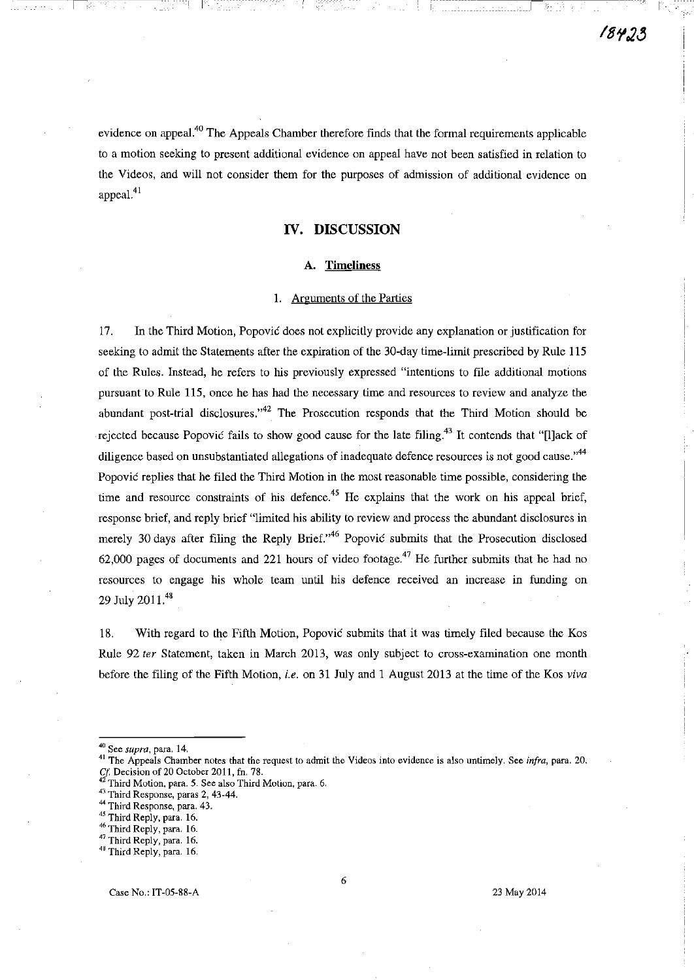evidence on appeal.<sup>40</sup> The Appeals Chamber therefore finds that the formal requirements applicable to a motion seeking to present additional evidence on appeal have not been satisfied in relation to the Videos, and will not consider them for the purposes of admission of additional evidence on appeal.<sup>41</sup>

## **IV. DISCUSSION**

## **A.** Timeliness

#### 1. Arguments of the Parties

17. In the Third Motion, Popovic does not explicitly provide any explanation or justification for seeking to admit the Statements after the expiration of the 3D-day time-limit prescribed by Rule 115 of the Rules. Instead, he refers to his previously expressed "intentions to file additional motions pursuant to Rule 115, once he has had the necessary time and resources to review and analyze the abundant post-trial disclosures."<sup>42</sup> The Prosecution responds that the Third Motion should be rejected because Popović fails to show good cause for the late filing.<sup>43</sup> It contends that "[l]ack of diligence based on unsubstantiated allegations of inadequate defence resources is not good cause."<sup>44</sup> Popovic replies that he filed the Third Motion in the most reasonable time possible, considering the time and resource constraints of his defence.<sup>45</sup> He explains that the work on his appeal brief, response brief, and reply brief "limited his ability to review and process the abundant disclosures in merely 30 days after filing the Reply Brief. $146$  Popovic submits that the Prosecution disclosed 62,000 pages of documents and 221 hours of video footage.<sup>47</sup> He further submits that he had no resources to engage his whole team until his defence received an increase in funding on 29 July 2011.<sup>48</sup>

18. With regard to the Fifth Motion, Popovic submits that it was timely filed because the Kos Rule 92 ter Statement, taken in March 2013, was only subject to cross-examination one month before the filing of the Fifth Motion, *i.e.* on 31 July and 1 August 2013 at the time of the Kos *viva* 

------1

**<sup>40</sup> See** *supra,* **para. 14.** 

<sup>&</sup>lt;sup>41</sup> The Appeals Chamber notes that the request to admit the Videos into evidence is also untimely. See *infra*, para. 20. Cf. Decision of 20 October 2011, fn. 78.

**<sup>4</sup> Third Motion, para. 5. See also Third Motion, para. 6.** 

<sup>&</sup>lt;sup>43</sup> Third Response, paras 2, 43-44.

**<sup>44</sup> Third Response, para. 43.** 

**<sup>45</sup> Third Reply, para. 16.** 

**<sup>46</sup> Third Reply, para. 16.** 

**<sup>47</sup> Third Reply, para. 16.** 

<sup>&</sup>lt;sup>48</sup> Third Reply, para. 16.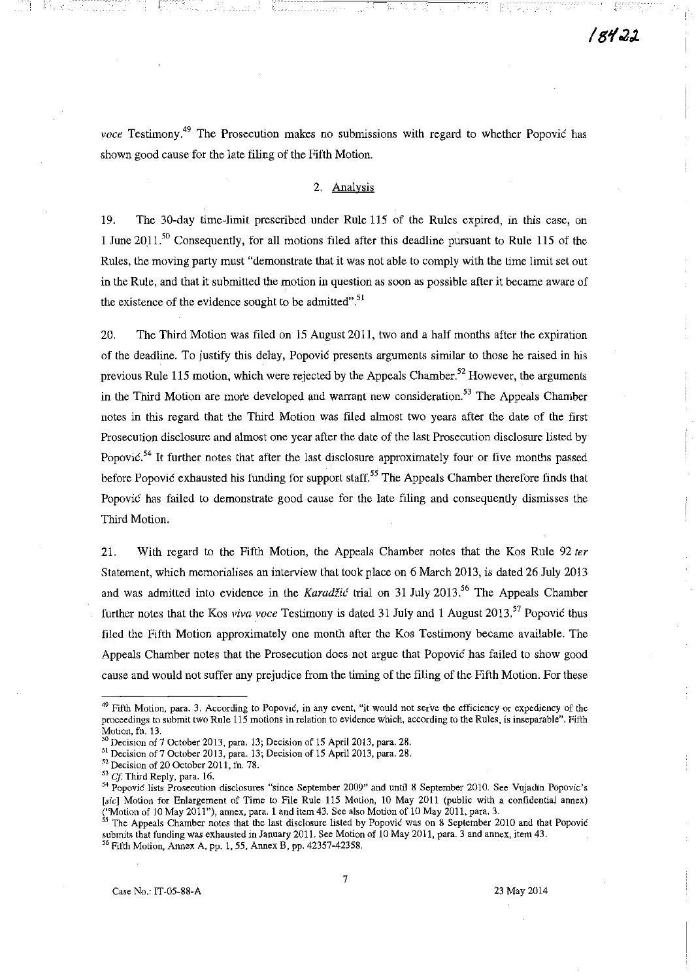*voce* Testimony.<sup>49</sup> The Prosecution makes no submissions with regard to whether Popović has shown good cause for the late filing of the Fifth Motion.

t is Andrian and India are the 1994 and America of Charles and Hampson and India (1995). A state of the film t

#### 2. Analysis

19. The 30-day time-limit prescribed under Rule 115 of the Rules expired, in this case, on 1 June 2011.<sup>50</sup> Consequently, for all motions filed after this deadline pursuant to Rule 115 of the Rules, the moving party must "demonstrate that it was not able to comply with the time limit set out in the Rule, and that it submitted the motion in question as soon as possible after it became aware of the existence of the evidence sought to be admitted".<sup>51</sup>

20. The Third Motion was filed on 15 August 2011, two and a half months after the expiration of the deadline. To justify this delay, Popovic presents arguments similar to those he raised in his previous Rule 115 motion, which were rejected by the Appeals Chamber.<sup>52</sup> However, the arguments in the Third Motion are more developed and warrant new consideration.<sup>53</sup> The Appeals Chamber notes in this regard that the Third Motion was filed almost two years after the date of the first Prosecution disclosure and almost one year after the date of the last Prosecution disclosure listed by Popovic.<sup>54</sup> It further notes that after the last disclosure approximately four or five months passed before Popovic exhausted his funding for support staff.<sup>55</sup> The Appeals Chamber therefore finds that Popovic has failed to demonstrate good cause for the late filing and consequently dismisses the Third Motion.

21. With regard to the Fifth Motion, the Appeals Chamber notes that the Kos Rule 92 ter Statement, which memorialises an interview that took place on 6 March 2013, is dated 26 July 2013 and was admitted into evidence in the Karadžić trial on 31 July 2013.<sup>56</sup> The Appeals Chamber further notes that the Kos *viva voce* Testimony is dated 31 July and 1 August 2013. 57 Popovic thus filed the Fifth Motion approximately one month after the Kos Testimony became available. The Appeals Chamber notes that the Prosecution does not argue that Popovic has failed to show good cause and would not suffer any prejudice from the timing of the filing of the Fifth Motion. For these

<sup>&</sup>lt;sup>49</sup> Fifth Motion, para. 3. According to Popović, in any event, "it would not serve the efficiency or expediency of the proceedings to submit two Rule 115 motions in relation to evidence which, according to the Rules, is inseparable". Fifth Mobon, fn. 13.

<sup>&</sup>lt;sup>50</sup> Decision of 7 October 2013, para. 13; Decision of 15 April 2013, para. 28.

<sup>&</sup>lt;sup>51</sup> Decision of 7 October 2013, para. 13; Decision of 15 April 2013, para. 28.

 $52$  Decision of 20 October 2011, fn. 78.

*<sup>53</sup> Cj* Third Reply, para. 16.

<sup>&</sup>lt;sup>54</sup> Popovic lists Prosecution disclosures "since September 2009" and until 8 September 2010. See Vujadin Popovic's [sic] Motion for Enlargement of Time to File Rule 115 Motion, 10 May 2011 (public with a confidential annex) ("Motion of 10 May 2011 "), annex, para. 1 and item 43. See also Motion of 10 May 2011, para. 3.

<sup>&</sup>lt;sup>55</sup> The Appeals Chamber notes that the last disclosure listed by Popovic was on 8 September 2010 and that Popovic submits that funding was exhausted in January 2011. See Motion of 10 May 2011, para. 3 and annex, item 43.  $56$  Fifth Motion, Annex A, pp. 1, 55, Annex B, pp. 42357-42358.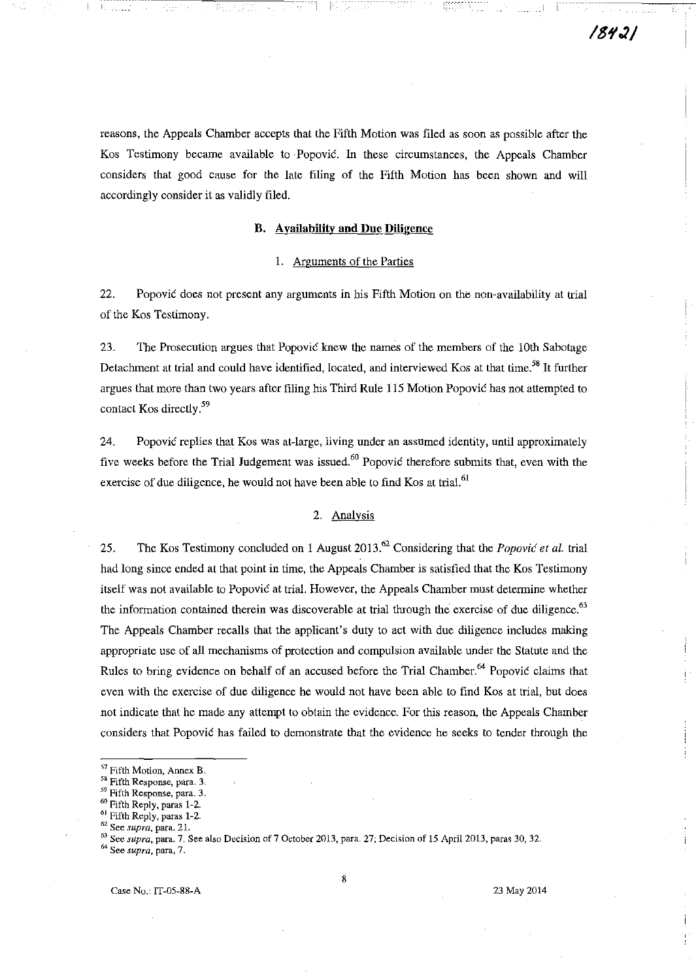reasons, the Appeals Chamber accepts that the Fifth Motion was filed as soon as possible after the Kos Testimony became available to· Popovic. In these circumstances, the Appeals Chamber considers that good cause for the late filing of the Fifth Motion has been shown and will accordingly consider it as validly filed.

#### B. Availability and Due Diligence

## 1. Arguments of the Parties

22. Popovic does not present any arguments in his Fifth Motion on the non-availability at trial of the Kos Testimony.

23. The Prosecution argues that Popovic knew the names of the members of the 10th Sabotage Detachment at trial and could have identified, located, and interviewed Kos at that time.<sup>58</sup> It further argues that more than two years after filing his Third Rule 115 Motion Popovic has not attempted to contact Kos directly<sup>59</sup>

24. Popovic replies that Kos was at-large, living under an assumed identity, until approximately five weeks before the Trial Judgement was issued.<sup>60</sup> Popovic therefore submits that, even with the exercise of due diligence, he would not have been able to find Kos at trial.<sup>61</sup>

#### 2. Analysis

25. The Kos Testimony concluded on 1 August 2013.62 Considering that the *Popovic et al.* trial had long since ended at that point in time, the Appeals Chamber is satisfied that the Kos Testimony itself was not available to Popovic at trial. However, the Appeals Chamber must determine whether the information contained therein was discoverable at trial through the exercise of due diligence.<sup>63</sup> The Appeals Chamber recalls that the applicant's duty to act with due diligence includes making appropriate use of all mechanisms of protection and compulsion available under the Statute and the Rules to bring evidence on behalf of an accused before the Trial Chamber.<sup>64</sup> Popovic claims that even with the exercise of due diligence he would not have been able to find Kos at trial, but does not indicate that he made any attempt to obtain the evidence. For this reason, the Appeals Chamber considers that Popovic has failed to demonstrate that the evidence he seeks to tender through the

<sup>&</sup>lt;sup>57</sup> Fifth Motion, Annex B.

<sup>58</sup> Fifth Response, para. 3.

<sup>59</sup> Fifth Response, para. 3.

<sup>60</sup> Fifth Reply, paras 1-2.

<sup>61</sup> Fifth Reply, paras 1-2.

<sup>62</sup> See *supra,* para. 2l.

<sup>63</sup> See *supra,* para. 7. See also Decision of 7 October 2013, para. 27; Decision of 15 April 2013, paras 30, 32.

<sup>64</sup> See *supra,* para, 7.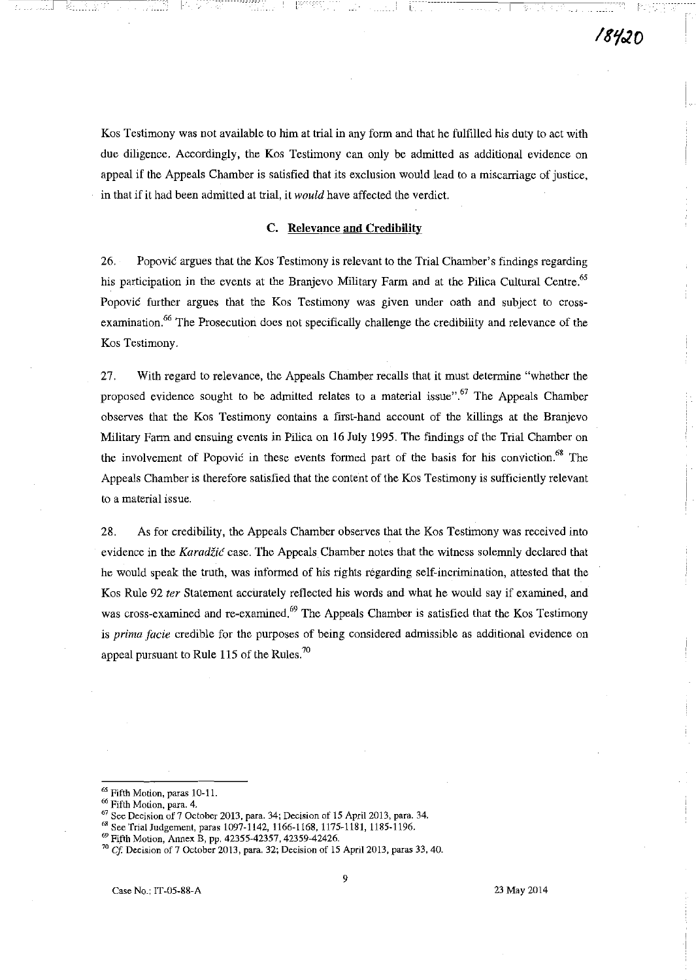i'-.

Kos Testimony was not available to him at trial in any form and that he fulfilled his duty to act with due diligence. Accordingly, the Kos Testimony can only be admitted as additional evidence on appeal if the Appeals Chamber is satisfied that its exclusion would lead to a miscarriage of justice, in that if it had been admitted at trial, it *would* have affected the verdict.

1----- ,

### C. Relevance and Credihility

26. Popović argues that the Kos Testimony is relevant to the Trial Chamber's findings regarding his participation in the events at the Branjevo Military Farm and at the Pilica Cultural Centre.<sup>65</sup> Popovic further argues that the Kos Testimony was given under oath and subject to crossexamination.<sup>66</sup> The Prosecution does not specifically challenge the credibility and relevance of the Kos Testimony.

27. With regard to relevance, the Appeals Chamber recalls that it must determine "whether the proposed evidence sought to be admitted relates to a material issue".<sup>67</sup> The Appeals Chamber observes that the Kos Testimony contains a first-hand account of the killings at the Branjevo Military Fann and ensuing events in Pilica on 16 July 1995. The findings of the Trial Chamber on the involvement of Popovic in these events formed part of the basis for his conviction.<sup>68</sup> The Appeals Chamber is therefore satisfied that the content of the Kos Testimony is sufficiently relevant to a material issue.

28. As for credibility, the Appeals Chamber observes that the Kos Testimony was received into evidence in the *Karadžić* case. The Appeals Chamber notes that the witness solemnly declared that he would speak the truth, was informed of his rights regarding self-incrimination, attested that the Kos Rule 92 *ter* Statement accurately reflected his words and what he would say if examined, and was cross-examined and re-examined.<sup>69</sup> The Appeals Chamber is satisfied that the Kos Testimony is *prima facie* credible for the purposes of being considered admissible as additional evidence on appeal pursuant to Rule 115 of the Rules.<sup>70</sup>

'" See TrialJudgement. paras 1097-1142. 1166-1168. 1175-1181. 1185-1196.

<sup>&</sup>lt;sup>65</sup> Fifth Motion, paras 10-11.

<sup>&</sup>lt;sup>66</sup> Fifth Motion, para. 4.

 $^{67}$  See Decision of 7 October 2013, para. 34; Decision of 15 April 2013, para. 34.

<sup>&</sup>lt;sup>69</sup> Fifth Motion, Annex B, pp. 42355-42357, 42359-42426.

*<sup>70</sup> Cf* Decision of 7 October 2013, para. 32; Decision of 15 Apri12013, paras 33, 40.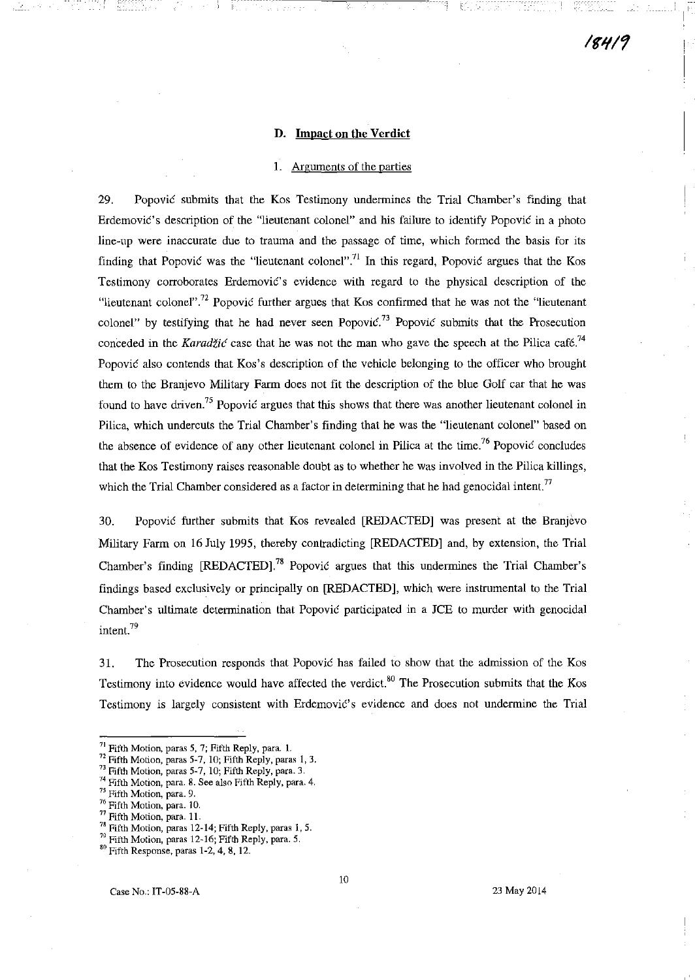## D. Impact on the Verdict

i---

## I. Arguments of the parties

29, Popovic submits that the Kos Testimony undermines the Trial Chamber's finding that Erdemovic's description of the "lieutenant colonel" and his failure to identify Popovic in a photo line-up were inaccurate due to trauma and the passage of time, which formed the basis for its finding that Popovic was the "lieutenant colonel".<sup>71</sup> In this regard, Popovic argues that the Kos Testimony corroborates Erdemovic's evidence with regard to the physical description of the "lieutenant colonel".<sup>72</sup> Popovic further argues that Kos confirmed that he was not the "lieutenant" colonel" by testifying that he had never seen Popovic.<sup>73</sup> Popovic submits that the Prosecution conceded in the Karadžić case that he was not the man who gave the speech at the Pilica café.<sup>74</sup> Popović also contends that Kos's description of the vehicle belonging to the officer who brought them to the Branjevo Military Farm does not fit the description of the blue Golf car that he was found to have driven.<sup>75</sup> Popović argues that this shows that there was another lieutenant colonel in Pilica, which undercuts the Trial Chamber's finding that he was the "lieutenant colonel" based on the absence of evidence of any other lieutenant colonel in Pilica at the time.<sup>76</sup> Popovic concludes that the Kos Testimony raises reasonable doubt as to whether he was involved in the Pilica killings, which the Trial Chamber considered as a factor in determining that he had genocidal intent.<sup>77</sup>

30, Popovic further submits that Kos revealed [REDACTED] was present at the Branjevo Military Farm on 16 July 1995, thereby contradicting [REDACTED] and, by extension, the Trial Chamber's finding [REDACTED].<sup>78</sup> Popovic argues that this undermines the Trial Chamber's findings based exclusively or principally on [REDACTED], which were instrumental to the Trial Chamber's ultimate determination that Popovic participated in a JCE to murder with genocidal intent.<sup>79</sup>

31. The Prosecution responds that Popovic has failed to show that the admission of the Kos Testimony into evidence would have affected the verdict.<sup>80</sup> The Prosecution submits that the Kos Testimony is largely consistent with Erdemović's evidence and does not undermine the Trial

#### 23 May 2014

<sup>&</sup>lt;sup>71</sup> Fifth Motion, paras 5, 7; Fifth Reply, para. 1.

 $^{\prime\prime}$  Fifth Motion, paras 5-7, 10; Fifth Reply, paras 1, 3.

 $^{\prime\prime}$  Fifth Motion, paras 5-7, 10; Fifth Reply, para. 3.

<sup>&</sup>lt;sup>74</sup> Fifth Motion, para. 8. See also Fifth Reply, para. 4.

<sup>75</sup> Fifth Motion, para. 9.

<sup>&</sup>lt;sup>76</sup> Fifth Motion, para. 10.

Fifth Motion, para. 11.

<sup>&</sup>lt;sup>78</sup> Fifth Motion, paras 12-14; Fifth Reply, paras 1, 5.

<sup>79</sup> Fifth Motion, paras 12-16; Fifth Reply, para. 5.

<sup>80</sup> Fifth Response, paras 1-2, 4, 8, 12.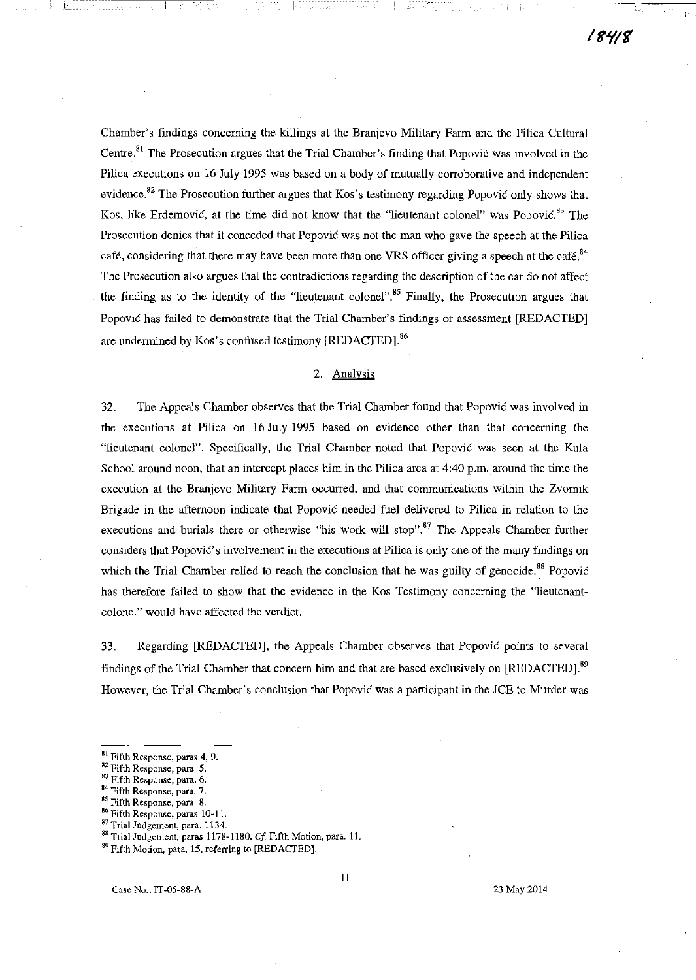Chamber's findings concerning the killings at the Branjevo Military Farm and the Pilica Cultural Centre.<sup>81</sup> The Prosecution argues that the Trial Chamber's finding that Popović was involved in the Pilica executions on 16 July 1995 was based on a body of mutually corroborative and independent evidence.<sup>82</sup> The Prosecution further argues that Kos's testimony regarding Popović only shows that Kos, like Erdemović, at the time did not know that the "lieutenant colonel" was Popović.<sup>83</sup> The Prosecution denies that it conceded that Popovic was not the man who gave the speech at the Pilica café, considering that there may have been more than one VRS officer giving a speech at the café.<sup>84</sup> The Prosecution also argues that the contradictions regarding the description of the car do not affect the finding as to the identity of the "lieutenant colonel".<sup>85</sup> Finally, the Prosecution argues that Popovic has failed to demonstrate that the Trial Chamber's findings or assessment [REDACTED] are undermined by Kos's confused testimony [REDACTED].<sup>86</sup>

## 2. Analysis

32. The Appeals Chamber observes that the Trial Chamber found that Popovic was involved in the executions at Pilica on 16 July 1995 based on evidence other than that concerning the "lieutenant colonel". Specifically, the Trial Chamber noted that Popovic was seen at the Kula School around noon, that an intercept places him in the Pilica area at 4:40 p.m. around the time the execution at the Branjevo Military Farm occurred, and that communications within the Zvomik Brigade in the afternoon indicate that Popovic needed fuel delivered to Pilica in relation to the executions and burials there or otherwise "his work will stop".<sup>87</sup> The Appeals Chamber further considers that Popović's involvement in the executions at Pilica is only one of the many findings on which the Trial Chamber relied to reach the conclusion that he was guilty of genocide.<sup>88</sup> Popović has therefore failed to show that the evidence in the Kos Testimony concerning the "lieutenantcolonel" would have affected the verdict.

33. Regarding [REDACTED], the Appeals Chamber observes that Popovic points to several findings of the Trial Chamber that concern him and that are based exclusively on [REDACTED].<sup>89</sup> However, the Trial Chamber's conclusion that Popovic was a participant in the JCE to Murder was

1-'-'-- \_\_ 1 I·

**SI Fifth Response, paras 4, 9.** 

**M2 Fifth Response, para. 5.** 

**<sup>83</sup> Fifth Response, para. 6.** 

<sup>84</sup>**Fifth Response, para. 7.** 

Fifth Response, para. 8.

<sup>&</sup>lt;sup>86</sup> Fifth Response, paras 10-11.

**<sup>81</sup> Trial Judgement, para. 1134.** 

**<sup>88</sup> Trial Judgement, paras 1178-1180.** *Cf* **Fifth Motion, para. 11.** 

**<sup>89</sup> Fifth Motion, para. 15, referring to [REDACTED].**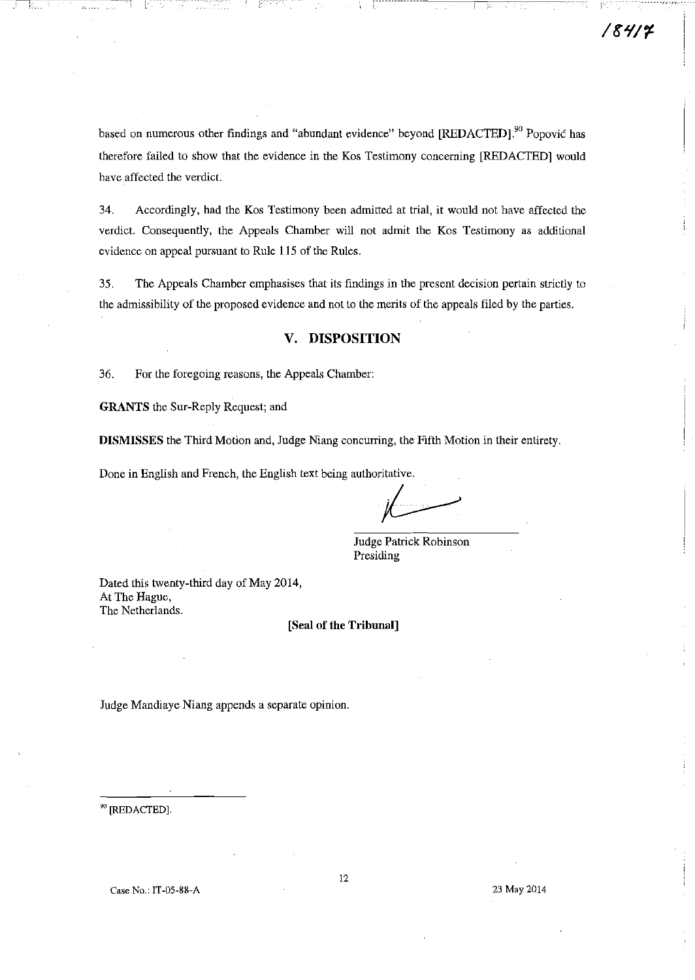I

based on numerous other findings and "abundant evidence" beyond [REDACTED].<sup>90</sup> Popović has therefore failed to show that the evidence in the Kos Testimony concerning [REDACTED] would have affected the verdict.

34. Accordingly, had the Kos Testimony been admitted at trial, it would not have affected the verdict. Consequently, the Appeals Chamber will not admit the Kos Testimony as additional evidence on appeal pursuant to Rule 115 of the Rules.

35. The Appeals Chamber emphasises that its findings in the present decision pertain strictly to the admissibility of the proposed evidence and not to the merits of the appeals filed by the parties.

# V. **DISPOSITION**

36. For the foregoing reasons, the Appeals Chamber:

GRANTS the Sur-Reply Request; and

DISMISSES the Third Motion and, Judge Niang concurring, the Fifth Motion in their entirety.

Done in English and French, the English text being authoritative.

~ Patrick Robinson

**Judge Patrick Robinson** Presiding

Dated this twenty-third day of May 2014, At The Hague, The Netherlands.

[Seal of the Trihunal]

Judge Mandiaye Niang appends a separate opinion.

<sup>90</sup> [REDACTED].

Case No.: IT-05-88-A 23 May 2014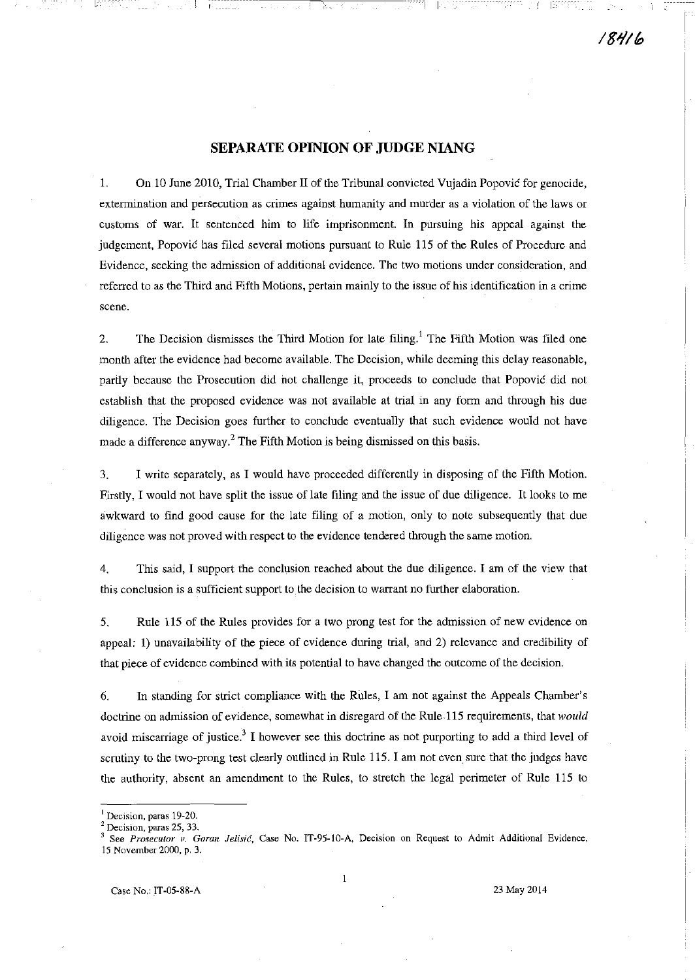# **SEPARATE OPINION OF JUDGE NIANG**

1. On 10 June 2010, Trial Chamber II of the Tribunal convicted Vujadin Popovic for genocide, extermination and persecution as crimes against humanity and murder as a violation of the laws or customs of war. It sentenced him to life imprisonment In pursuing his appeal against the judgement, Popovic has filed several motions pursuant to Rule 115 of the Rules of Procedure and Evidence, seeking the admission of additional evidence. The two motions under consideration, and referred to as the Third and Fifth Motions, pertain mainly to the issue of his identification in a crime **scene.** 

2. The Decision dismisses the Third Motion for late filing.<sup>1</sup> The Fifth Motion was filed one month after the evidence had become available. The Decision, while deeming this delay reasonable, partiy because the Prosecution did not challenge it, proceeds to conclude that Popovic did not establish that the proposed evidence was not available at trial in any form and through his due diligence. The Decision goes further to conclude eventually that such evidence would not have made a difference anyway? The Fifth Motion is being dismissed on this basis.

3. I write separately, as I would have proceeded differently in disposing of the Fifth Motion. Firstly, I would not have split the issue of late filing and the issue of due diligence. It looks to me awkward to find good cause for the late filing of a motion, only to note subsequently that due diligence was not proved with respect to the evidence tendered through the same motion.

4. This said, I support the conclusion reached about the due diligence. I am of the view that this conclusion is a sufficient support to the decision to warrant no further elaboration.

5. Rule 115 of the Rules provides for a two prong test for the admission of new evidence on appeal: 1) unavailability of the piece of evidence during trial, and 2) relevance and credibility of that piece of evidence combined with its potential to have changed the outcome of the decision.

6. In standing for strict compliance with the Rules, I am not against the Appeals Chamber's doctrine on admission of evidence, somewhat in disregard of the Rule 115 requirements, that *would*  avoid miscarriage of justice.<sup>3</sup> I however see this doctrine as not purporting to add a third level of scrutiny to the two-prong test clearly outlined in Rule 115. I am not even sure that the judges have the authority, absent an amendment to the Rules, to stretch the legal perimeter of Rule 115 to

**<sup>I</sup>Decision, paras 19-20.** 

<sup>2</sup>**Decision, paras 25, 33.** 

See Prosecutor v. Goran Jelisić, Case No. IT-95-10-A, Decision on Request to Admit Additional Evidence, **15 November 2000, p. 3.**